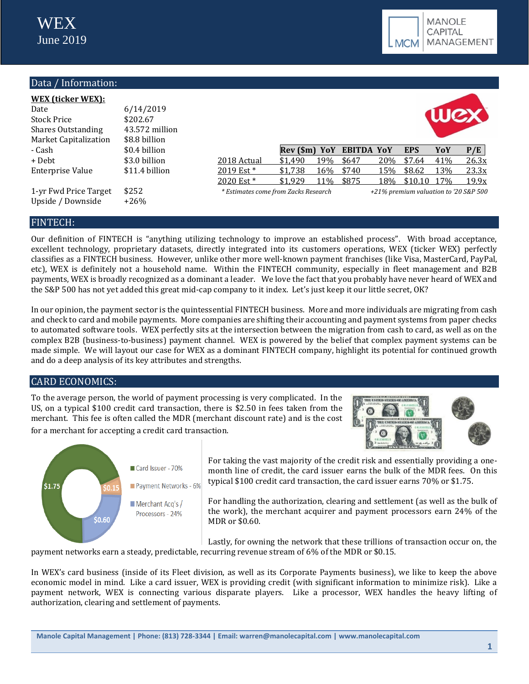

# Data / Information:

| <b>WEX (ticker WEX):</b>     |                |                                      |           |                 |                                       |     |                 |     |       |
|------------------------------|----------------|--------------------------------------|-----------|-----------------|---------------------------------------|-----|-----------------|-----|-------|
| Date                         | 6/14/2019      |                                      |           |                 |                                       |     |                 |     |       |
| <b>Stock Price</b>           | \$202.67       |                                      |           |                 |                                       |     |                 |     |       |
| <b>Shares Outstanding</b>    | 43.572 million |                                      |           |                 |                                       |     |                 |     |       |
| <b>Market Capitalization</b> | \$8.8 billion  |                                      |           |                 |                                       |     |                 |     |       |
| - Cash                       | \$0.4 billion  |                                      | Rev (\$m) | YoY             | <b>EBITDA YoY</b>                     |     | <b>EPS</b>      | YoY | P/E   |
| + Debt                       | \$3.0 billion  | 2018 Actual                          | \$1.490   | 19%             | \$647                                 | 20% | \$7.64          | 41% | 26.3x |
| Enterprise Value             | \$11.4 billion | 2019 Est *                           | \$1.738   | 16%             | \$740                                 | 15% | \$8.62          | 13% | 23.3x |
|                              |                | 2020 Est *                           | \$1.929   | 11 <sub>%</sub> | \$875                                 | 18% | $$10.10$ $17\%$ |     | 19.9x |
| 1-yr Fwd Price Target        | \$252          | * Estimates come from Zacks Research |           |                 | +21% premium valuation to '20 S&P 500 |     |                 |     |       |
| Upside / Downside            | $+26%$         |                                      |           |                 |                                       |     |                 |     |       |

## FINTECH:

Our definition of FINTECH is "anything utilizing technology to improve an established process". With broad acceptance, excellent technology, proprietary datasets, directly integrated into its customers operations, WEX (ticker WEX) perfectly classifies as a FINTECH business. However, unlike other more well-known payment franchises (like Visa, MasterCard, PayPal, etc), WEX is definitely not a household name. Within the FINTECH community, especially in fleet management and B2B payments, WEX is broadly recognized as a dominant a leader. We love the fact that you probably have never heard of WEX and the S&P 500 has not yet added this great mid-cap company to it index. Let's just keep it our little secret, OK?

In our opinion, the payment sector is the quintessential FINTECH business. More and more individuals are migrating from cash and check to card and mobile payments. More companies are shifting their accounting and payment systems from paper checks to automated software tools. WEX perfectly sits at the intersection between the migration from cash to card, as well as on the complex B2B (business-to-business) payment channel. WEX is powered by the belief that complex payment systems can be made simple. We will layout our case for WEX as a dominant FINTECH company, highlight its potential for continued growth and do a deep analysis of its key attributes and strengths.

## CARD ECONOMICS:

To the average person, the world of payment processing is very complicated. In the US, on a typical \$100 credit card transaction, there is \$2.50 in fees taken from the merchant. This fee is often called the MDR (merchant discount rate) and is the cost for a merchant for accepting a credit card transaction.





For taking the vast majority of the credit risk and essentially providing a onemonth line of credit, the card issuer earns the bulk of the MDR fees. On this typical \$100 credit card transaction, the card issuer earns 70% or \$1.75.

For handling the authorization, clearing and settlement (as well as the bulk of the work), the merchant acquirer and payment processors earn 24% of the MDR or \$0.60.

Lastly, for owning the network that these trillions of transaction occur on, the payment networks earn a steady, predictable, recurring revenue stream of 6% of the MDR or \$0.15.

In WEX's card business (inside of its Fleet division, as well as its Corporate Payments business), we like to keep the above economic model in mind. Like a card issuer, WEX is providing credit (with significant information to minimize risk). Like a payment network, WEX is connecting various disparate players. Like a processor, WEX handles the heavy lifting of authorization, clearing and settlement of payments.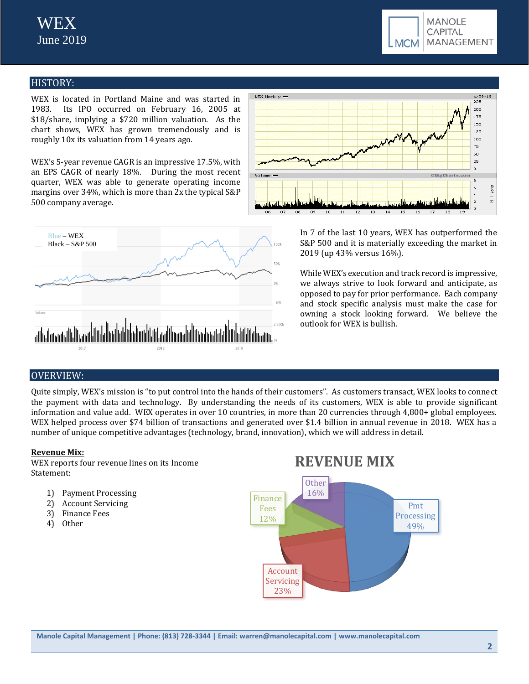



# HISTORY:

WEX is located in Portland Maine and was started in 1983. Its IPO occurred on February 16, 2005 at \$18/share, implying a \$720 million valuation. As the chart shows, WEX has grown tremendously and is roughly 10x its valuation from 14 years ago.

WEX's 5-year revenue CAGR is an impressive 17.5%, with an EPS CAGR of nearly 18%. During the most recent quarter, WEX was able to generate operating income margins over 34%, which is more than 2x the typical S&P 500 company average.





In 7 of the last 10 years, WEX has outperformed the S&P 500 and it is materially exceeding the market in 2019 (up 43% versus 16%).

While WEX's execution and track record is impressive, we always strive to look forward and anticipate, as opposed to pay for prior performance. Each company and stock specific analysis must make the case for owning a stock looking forward. We believe the outlook for WEX is bullish.

## OVERVIEW:

Quite simply, WEX's mission is "to put control into the hands of their customers". As customers transact, WEX looks to connect the payment with data and technology. By understanding the needs of its customers, WEX is able to provide significant information and value add. WEX operates in over 10 countries, in more than 20 currencies through 4,800+ global employees. WEX helped process over \$74 billion of transactions and generated over \$1.4 billion in annual revenue in 2018. WEX has a number of unique competitive advantages (technology, brand, innovation), which we will address in detail.

#### **Revenue Mix:**

WEX reports four revenue lines on its Income Statement:

- 1) Payment Processing
- 2) Account Servicing
- 3) Finance Fees
- 4) Other

# **REVENUE MIX**

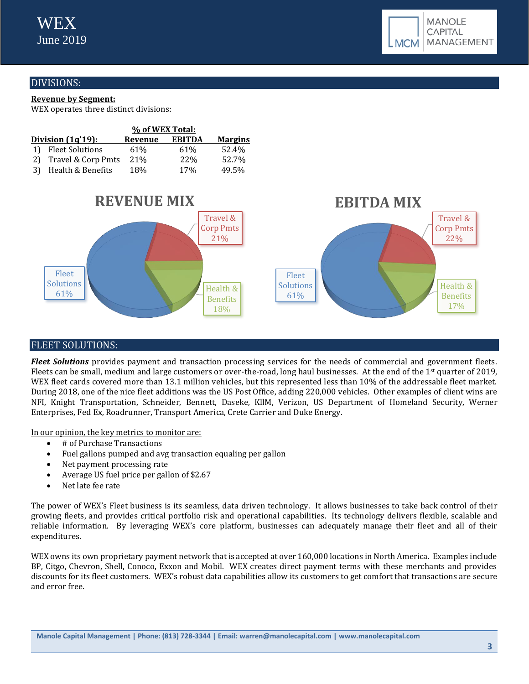

# DIVISIONS:

## **Revenue by Segment:**

WEX operates three distinct divisions:

|                          | % of WEX Total: |               |                |  |  |  |  |
|--------------------------|-----------------|---------------|----------------|--|--|--|--|
| <b>Division (1g'19):</b> | Revenue         | <b>EBITDA</b> | <b>Margins</b> |  |  |  |  |
| 1) Fleet Solutions       | 61\%            | 61%           | 52.4%          |  |  |  |  |
| 2) Travel & Corp Pmts    | 21\%            | 22%           | 52.7%          |  |  |  |  |
| 3) Health & Benefits     | 18%             | 17%           | 49.5%          |  |  |  |  |



## FLEET SOLUTIONS:

*Fleet Solutions* provides payment and transaction processing services for the needs of commercial and government fleets. Fleets can be small, medium and large customers or over-the-road, long haul businesses. At the end of the  $1<sup>st</sup>$  quarter of 2019, WEX fleet cards covered more than 13.1 million vehicles, but this represented less than 10% of the addressable fleet market. During 2018, one of the nice fleet additions was the US Post Office, adding 220,000 vehicles. Other examples of client wins are NFI, Knight Transportation, Schneider, Bennett, Daseke, KllM, Verizon, US Department of Homeland Security, Werner Enterprises, Fed Ex, Roadrunner, Transport America, Crete Carrier and Duke Energy.

In our opinion, the key metrics to monitor are:

- # of Purchase Transactions
- Fuel gallons pumped and avg transaction equaling per gallon
- Net payment processing rate
- Average US fuel price per gallon of \$2.67
- Net late fee rate

The power of WEX's Fleet business is its seamless, data driven technology. It allows businesses to take back control of their growing fleets, and provides critical portfolio risk and operational capabilities. Its technology delivers flexible, scalable and reliable information. By leveraging WEX's core platform, businesses can adequately manage their fleet and all of their expenditures.

WEX owns its own proprietary payment network that is accepted at over 160,000 locations in North America. Examples include BP, Citgo, Chevron, Shell, Conoco, Exxon and Mobil. WEX creates direct payment terms with these merchants and provides discounts for its fleet customers. WEX's robust data capabilities allow its customers to get comfort that transactions are secure and error free.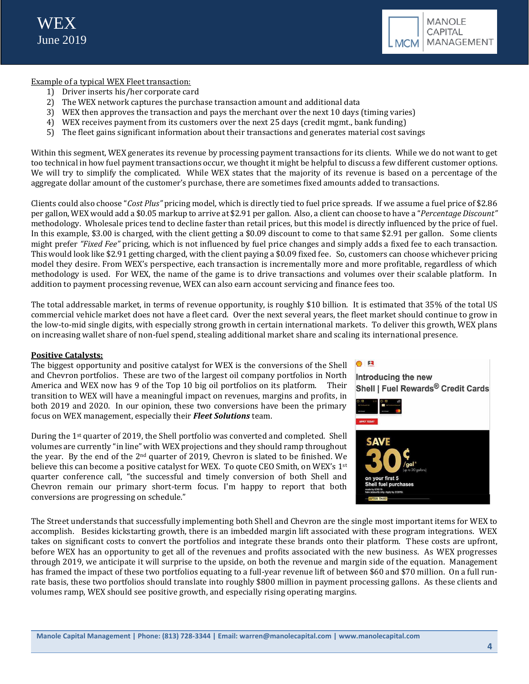



Example of a typical WEX Fleet transaction:

- 1) Driver inserts his/her corporate card
- 2) The WEX network captures the purchase transaction amount and additional data
- 3) WEX then approves the transaction and pays the merchant over the next 10 days (timing varies)
- 4) WEX receives payment from its customers over the next 25 days (credit mgmt., bank funding)
- 5) The fleet gains significant information about their transactions and generates material cost savings

Within this segment, WEX generates its revenue by processing payment transactions for its clients. While we do not want to get too technical in how fuel payment transactions occur, we thought it might be helpful to discuss a few different customer options. We will try to simplify the complicated. While WEX states that the majority of its revenue is based on a percentage of the aggregate dollar amount of the customer's purchase, there are sometimes fixed amounts added to transactions.

Clients could also choose "*Cost Plus"* pricing model*,* which is directly tied to fuel price spreads. If we assume a fuel price of \$2.86 per gallon, WEX would add a \$0.05 markup to arrive at \$2.91 per gallon. Also, a client can choose to have a "*Percentage Discount"* methodology. Wholesale prices tend to decline faster than retail prices, but this model is directly influenced by the price of fuel. In this example, \$3.00 is charged, with the client getting a \$0.09 discount to come to that same \$2.91 per gallon. Some clients might prefer *"Fixed Fee"* pricing, which is not influenced by fuel price changes and simply adds a fixed fee to each transaction. This would look like \$2.91 getting charged, with the client paying a \$0.09 fixed fee. So, customers can choose whichever pricing model they desire. From WEX's perspective, each transaction is incrementally more and more profitable, regardless of which methodology is used. For WEX, the name of the game is to drive transactions and volumes over their scalable platform. In addition to payment processing revenue, WEX can also earn account servicing and finance fees too.

The total addressable market, in terms of revenue opportunity, is roughly \$10 billion. It is estimated that 35% of the total US commercial vehicle market does not have a fleet card. Over the next several years, the fleet market should continue to grow in the low-to-mid single digits, with especially strong growth in certain international markets. To deliver this growth, WEX plans on increasing wallet share of non-fuel spend, stealing additional market share and scaling its international presence.

#### **Positive Catalysts:**

The biggest opportunity and positive catalyst for WEX is the conversions of the Shell and Chevron portfolios. These are two of the largest oil company portfolios in North America and WEX now has 9 of the Top 10 big oil portfolios on its platform. Their transition to WEX will have a meaningful impact on revenues, margins and profits, in both 2019 and 2020. In our opinion, these two conversions have been the primary focus on WEX management, especially their *Fleet Solutions* team.

During the 1st quarter of 2019, the Shell portfolio was converted and completed. Shell volumes are currently "in line" with WEX projections and they should ramp throughout the year. By the end of the 2nd quarter of 2019, Chevron is slated to be finished. We believe this can become a positive catalyst for WEX. To quote CEO Smith, on WEX's  $1^{st}$ quarter conference call, "the successful and timely conversion of both Shell and Chevron remain our primary short-term focus. I'm happy to report that both conversions are progressing on schedule."



The Street understands that successfully implementing both Shell and Chevron are the single most important items for WEX to accomplish. Besides kickstarting growth, there is an imbedded margin lift associated with these program integrations. WEX takes on significant costs to convert the portfolios and integrate these brands onto their platform. These costs are upfront, before WEX has an opportunity to get all of the revenues and profits associated with the new business. As WEX progresses through 2019, we anticipate it will surprise to the upside, on both the revenue and margin side of the equation. Management has framed the impact of these two portfolios equating to a full-year revenue lift of between \$60 and \$70 million. On a full runrate basis, these two portfolios should translate into roughly \$800 million in payment processing gallons. As these clients and volumes ramp, WEX should see positive growth, and especially rising operating margins.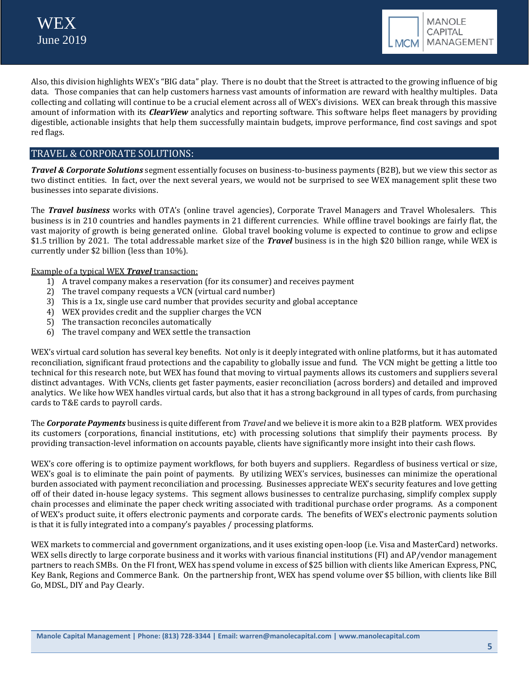



Also, this division highlights WEX's "BIG data" play. There is no doubt that the Street is attracted to the growing influence of big data. Those companies that can help customers harness vast amounts of information are reward with healthy multiples. Data collecting and collating will continue to be a crucial element across all of WEX's divisions. WEX can break through this massive amount of information with its *ClearView* analytics and reporting software. This software helps fleet managers by providing digestible, actionable insights that help them successfully maintain budgets, improve performance, find cost savings and spot red flags.

# TRAVEL & CORPORATE SOLUTIONS:

*Travel & Corporate Solutions* segment essentially focuses on business-to-business payments (B2B), but we view this sector as two distinct entities. In fact, over the next several years, we would not be surprised to see WEX management split these two businesses into separate divisions.

The *Travel business* works with OTA's (online travel agencies), Corporate Travel Managers and Travel Wholesalers. This business is in 210 countries and handles payments in 21 different currencies. While offline travel bookings are fairly flat, the vast majority of growth is being generated online. Global travel booking volume is expected to continue to grow and eclipse \$1.5 trillion by 2021. The total addressable market size of the *Travel* business is in the high \$20 billion range, while WEX is currently under \$2 billion (less than 10%).

Example of a typical WEX *Travel* transaction:

- 1) A travel company makes a reservation (for its consumer) and receives payment
- 2) The travel company requests a VCN (virtual card number)
- 3) This is a 1x, single use card number that provides security and global acceptance
- 4) WEX provides credit and the supplier charges the VCN
- 5) The transaction reconciles automatically
- 6) The travel company and WEX settle the transaction

WEX's virtual card solution has several key benefits. Not only is it deeply integrated with online platforms, but it has automated reconciliation, significant fraud protections and the capability to globally issue and fund. The VCN might be getting a little too technical for this research note, but WEX has found that moving to virtual payments allows its customers and suppliers several distinct advantages. With VCNs, clients get faster payments, easier reconciliation (across borders) and detailed and improved analytics. We like how WEX handles virtual cards, but also that it has a strong background in all types of cards, from purchasing cards to T&E cards to payroll cards.

The *Corporate Payments* business is quite different from *Travel* and we believe it is more akin to a B2B platform. WEX provides its customers (corporations, financial institutions, etc) with processing solutions that simplify their payments process. By providing transaction-level information on accounts payable, clients have significantly more insight into their cash flows.

WEX's core offering is to optimize payment workflows, for both buyers and suppliers. Regardless of business vertical or size, WEX's goal is to eliminate the pain point of payments. By utilizing WEX's services, businesses can minimize the operational burden associated with payment reconciliation and processing. Businesses appreciate WEX's security features and love getting off of their dated in-house legacy systems. This segment allows businesses to centralize purchasing, simplify complex supply chain processes and eliminate the paper check writing associated with traditional purchase order programs. As a component of WEX's product suite, it offers electronic payments and corporate cards. The benefits of WEX's electronic payments solution is that it is fully integrated into a company's payables / processing platforms.

WEX markets to commercial and government organizations, and it uses existing open-loop (i.e. Visa and MasterCard) networks. WEX sells directly to large corporate business and it works with various financial institutions (FI) and AP/vendor management partners to reach SMBs. On the FI front, WEX has spend volume in excess of \$25 billion with clients like American Express, PNC, Key Bank, Regions and Commerce Bank. On the partnership front, WEX has spend volume over \$5 billion, with clients like Bill Go, MDSL, DIY and Pay Clearly.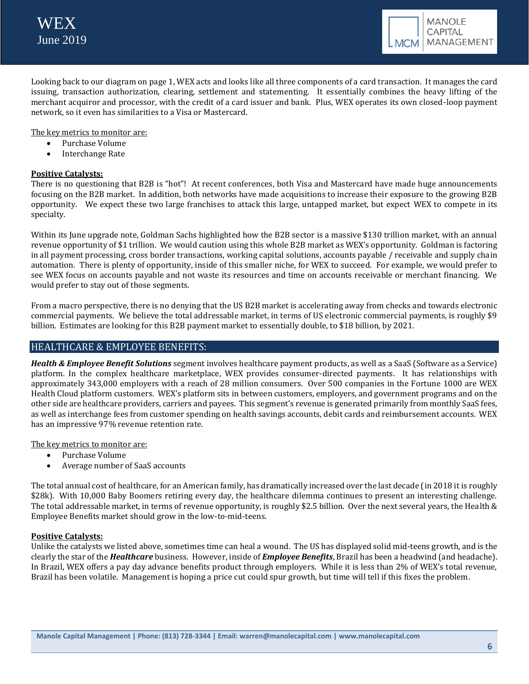

Looking back to our diagram on page 1, WEX acts and looks like all three components of a card transaction. It manages the card issuing, transaction authorization, clearing, settlement and statementing. It essentially combines the heavy lifting of the merchant acquiror and processor, with the credit of a card issuer and bank. Plus, WEX operates its own closed-loop payment network, so it even has similarities to a Visa or Mastercard.

The key metrics to monitor are:

- Purchase Volume
- Interchange Rate

## **Positive Catalysts:**

There is no questioning that B2B is "hot"! At recent conferences, both Visa and Mastercard have made huge announcements focusing on the B2B market. In addition, both networks have made acquisitions to increase their exposure to the growing B2B opportunity. We expect these two large franchises to attack this large, untapped market, but expect WEX to compete in its specialty.

Within its June upgrade note, Goldman Sachs highlighted how the B2B sector is a massive \$130 trillion market, with an annual revenue opportunity of \$1 trillion. We would caution using this whole B2B market as WEX's opportunity. Goldman is factoring in all payment processing, cross border transactions, working capital solutions, accounts payable / receivable and supply chain automation. There is plenty of opportunity, inside of this smaller niche, for WEX to succeed. For example, we would prefer to see WEX focus on accounts payable and not waste its resources and time on accounts receivable or merchant financing. We would prefer to stay out of those segments.

From a macro perspective, there is no denying that the US B2B market is accelerating away from checks and towards electronic commercial payments. We believe the total addressable market, in terms of US electronic commercial payments, is roughly \$9 billion. Estimates are looking for this B2B payment market to essentially double, to \$18 billion, by 2021.

## HEALTHCARE & EMPLOYEE BENEFITS:

*Health & Employee Benefit Solutions* segment involves healthcare payment products, as well as a SaaS (Software as a Service) platform. In the complex healthcare marketplace, WEX provides consumer-directed payments. It has relationships with approximately 343,000 employers with a reach of 28 million consumers. Over 500 companies in the Fortune 1000 are WEX Health Cloud platform customers. WEX's platform sits in between customers, employers, and government programs and on the other side are healthcare providers, carriers and payees. This segment's revenue is generated primarily from monthly SaaS fees, as well as interchange fees from customer spending on health savings accounts, debit cards and reimbursement accounts. WEX has an impressive 97% revenue retention rate.

The key metrics to monitor are:

- Purchase Volume
- Average number of SaaS accounts

The total annual cost of healthcare, for an American family, has dramatically increased over the last decade (in 2018 it is roughly \$28k). With 10,000 Baby Boomers retiring every day, the healthcare dilemma continues to present an interesting challenge. The total addressable market, in terms of revenue opportunity, is roughly \$2.5 billion. Over the next several years, the Health & Employee Benefits market should grow in the low-to-mid-teens.

## **Positive Catalysts:**

Unlike the catalysts we listed above, sometimes time can heal a wound. The US has displayed solid mid-teens growth, and is the clearly the star of the *Healthcare* business. However, inside of *Employee Benefits*, Brazil has been a headwind (and headache). In Brazil, WEX offers a pay day advance benefits product through employers. While it is less than 2% of WEX's total revenue, Brazil has been volatile. Management is hoping a price cut could spur growth, but time will tell if this fixes the problem.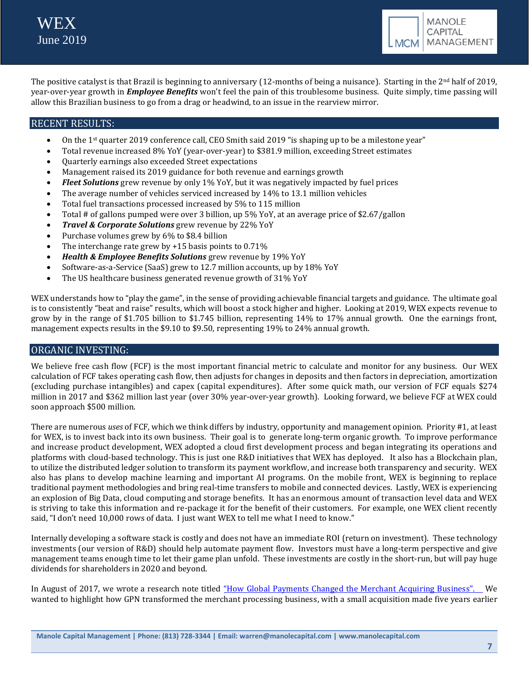



The positive catalyst is that Brazil is beginning to anniversary (12-months of being a nuisance). Starting in the 2nd half of 2019, year-over-year growth in *Employee Benefits* won't feel the pain of this troublesome business. Quite simply, time passing will allow this Brazilian business to go from a drag or headwind, to an issue in the rearview mirror.

## RECENT RESULTS:

- On the 1<sup>st</sup> quarter 2019 conference call, CEO Smith said 2019 "is shaping up to be a milestone year"
- Total revenue increased 8% YoY (year-over-year) to \$381.9 million, exceeding Street estimates
- Quarterly earnings also exceeded Street expectations
- Management raised its 2019 guidance for both revenue and earnings growth
- *Fleet Solutions* grew revenue by only 1% YoY, but it was negatively impacted by fuel prices
- The average number of vehicles serviced increased by 14% to 13.1 million vehicles
- Total fuel transactions processed increased by 5% to 115 million
- Total # of gallons pumped were over 3 billion, up 5% YoY, at an average price of \$2.67/gallon
- *Travel & Corporate Solutions* grew revenue by 22% YoY
- Purchase volumes grew by 6% to \$8.4 billion
- The interchange rate grew by  $+15$  basis points to 0.71%
- *Health & Employee Benefits Solutions* grew revenue by 19% YoY
- Software-as-a-Service (SaaS) grew to 12.7 million accounts, up by 18% YoY
- The US healthcare business generated revenue growth of 31% YoY

WEX understands how to "play the game", in the sense of providing achievable financial targets and guidance. The ultimate goal is to consistently "beat and raise" results, which will boost a stock higher and higher. Looking at 2019, WEX expects revenue to grow by in the range of \$1.705 billion to \$1.745 billion, representing 14% to 17% annual growth. One the earnings front, management expects results in the \$9.10 to \$9.50, representing 19% to 24% annual growth.

## ORGANIC INVESTING:

We believe free cash flow (FCF) is the most important financial metric to calculate and monitor for any business. Our WEX calculation of FCF takes operating cash flow, then adjusts for changes in deposits and then factors in depreciation, amortization (excluding purchase intangibles) and capex (capital expenditures). After some quick math, our version of FCF equals \$274 million in 2017 and \$362 million last year (over 30% year-over-year growth). Looking forward, we believe FCF at WEX could soon approach \$500 million.

There are numerous *uses* of FCF, which we think differs by industry, opportunity and management opinion. Priority #1, at least for WEX, is to invest back into its own business. Their goal is to generate long-term organic growth. To improve performance and increase product development, WEX adopted a cloud first development process and began integrating its operations and platforms with cloud-based technology. This is just one R&D initiatives that WEX has deployed. It also has a Blockchain plan, to utilize the distributed ledger solution to transform its payment workflow, and increase both transparency and security. WEX also has plans to develop machine learning and important AI programs. On the mobile front, WEX is beginning to replace traditional payment methodologies and bring real-time transfers to mobile and connected devices. Lastly, WEX is experiencing an explosion of Big Data, cloud computing and storage benefits. It has an enormous amount of transaction level data and WEX is striving to take this information and re-package it for the benefit of their customers. For example, one WEX client recently said, "I don't need 10,000 rows of data. I just want WEX to tell me what I need to know."

Internally developing a software stack is costly and does not have an immediate ROI (return on investment). These technology investments (our version of R&D) should help automate payment flow. Investors must have a long-term perspective and give management teams enough time to let their game plan unfold. These investments are costly in the short-run, but will pay huge dividends for shareholders in 2020 and beyond.

In August of 2017, we wrote a research note titled ["How Global Payments Changed the Merchant Acquiring Business".](https://docs.wixstatic.com/ugd/43315f_f7171a55dc4e4ab2aaae105f99c5adbb.pdf) We wanted to highlight how GPN transformed the merchant processing business, with a small acquisition made five years earlier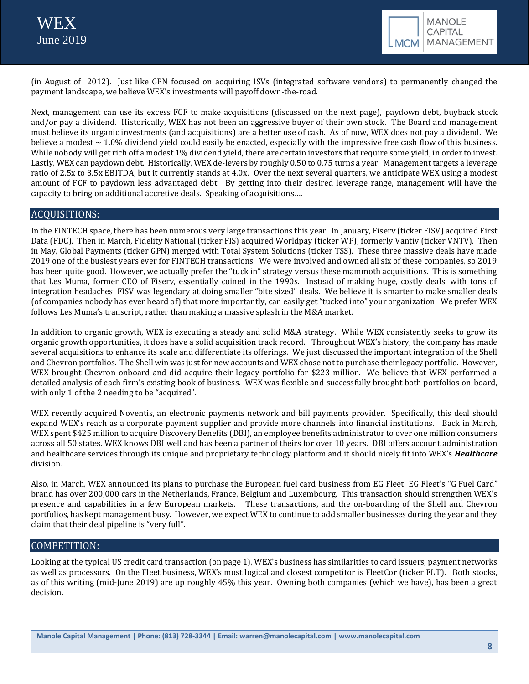



(in August of 2012). Just like GPN focused on acquiring ISVs (integrated software vendors) to permanently changed the payment landscape, we believe WEX's investments will payoff down-the-road.

Next, management can use its excess FCF to make acquisitions (discussed on the next page), paydown debt, buyback stock and/or pay a dividend. Historically, WEX has not been an aggressive buyer of their own stock. The Board and management must believe its organic investments (and acquisitions) are a better use of cash. As of now, WEX does not pay a dividend. We believe a modest  $\sim 1.0\%$  dividend yield could easily be enacted, especially with the impressive free cash flow of this business. While nobody will get rich off a modest 1% dividend yield, there are certain investors that require some yield, in order to invest. Lastly, WEX can paydown debt. Historically, WEX de-levers by roughly 0.50 to 0.75 turns a year. Management targets a leverage ratio of 2.5x to 3.5x EBITDA, but it currently stands at 4.0x. Over the next several quarters, we anticipate WEX using a modest amount of FCF to paydown less advantaged debt. By getting into their desired leverage range, management will have the capacity to bring on additional accretive deals. Speaking of acquisitions….

## ACQUISITIONS:

In the FINTECH space, there has been numerous very large transactions this year. In January, Fiserv (ticker FISV) acquired First Data (FDC). Then in March, Fidelity National (ticker FIS) acquired Worldpay (ticker WP), formerly Vantiv (ticker VNTV). Then in May, Global Payments (ticker GPN) merged with Total System Solutions (ticker TSS). These three massive deals have made 2019 one of the busiest years ever for FINTECH transactions. We were involved and owned all six of these companies, so 2019 has been quite good. However, we actually prefer the "tuck in" strategy versus these mammoth acquisitions. This is something that Les Muma, former CEO of Fiserv, essentially coined in the 1990s. Instead of making huge, costly deals, with tons of integration headaches, FISV was legendary at doing smaller "bite sized" deals. We believe it is smarter to make smaller deals (of companies nobody has ever heard of) that more importantly, can easily get "tucked into" your organization. We prefer WEX follows Les Muma's transcript, rather than making a massive splash in the M&A market.

In addition to organic growth, WEX is executing a steady and solid M&A strategy. While WEX consistently seeks to grow its organic growth opportunities, it does have a solid acquisition track record. Throughout WEX's history, the company has made several acquisitions to enhance its scale and differentiate its offerings. We just discussed the important integration of the Shell and Chevron portfolios. The Shell win was just for new accounts and WEX chose not to purchase their legacy portfolio. However, WEX brought Chevron onboard and did acquire their legacy portfolio for \$223 million. We believe that WEX performed a detailed analysis of each firm's existing book of business. WEX was flexible and successfully brought both portfolios on-board, with only 1 of the 2 needing to be "acquired".

WEX recently acquired Noventis, an electronic payments network and bill payments provider. Specifically, this deal should expand WEX's reach as a corporate payment supplier and provide more channels into financial institutions. Back in March, WEX spent \$425 million to acquire Discovery Benefits (DBI), an employee benefits administrator to over one million consumers across all 50 states. WEX knows DBI well and has been a partner of theirs for over 10 years. DBI offers account administration and healthcare services through its unique and proprietary technology platform and it should nicely fit into WEX's *Healthcare* division.

Also, in March, WEX announced its plans to purchase the European fuel card business from EG Fleet. EG Fleet's "G Fuel Card" brand has over 200,000 cars in the Netherlands, France, Belgium and Luxembourg. This transaction should strengthen WEX's presence and capabilities in a few European markets. These transactions, and the on-boarding of the Shell and Chevron portfolios, has kept management busy. However, we expect WEX to continue to add smaller businesses during the year and they claim that their deal pipeline is "very full".

## COMPETITION:

Looking at the typical US credit card transaction (on page 1), WEX's business has similarities to card issuers, payment networks as well as processors. On the Fleet business, WEX's most logical and closest competitor is FleetCor (ticker FLT). Both stocks, as of this writing (mid-June 2019) are up roughly 45% this year. Owning both companies (which we have), has been a great decision.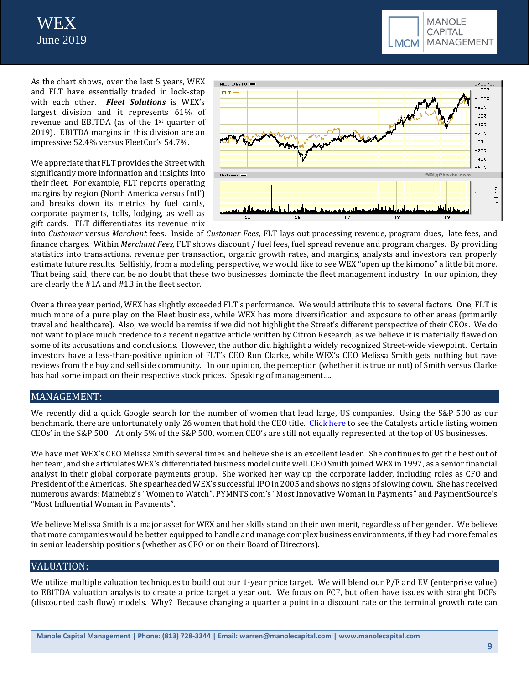



As the chart shows, over the last 5 years, WEX and FLT have essentially traded in lock-step with each other. *Fleet Solutions* is WEX's largest division and it represents 61% of revenue and EBITDA (as of the 1st quarter of 2019). EBITDA margins in this division are an impressive 52.4% versus FleetCor's 54.7%.

We appreciate that FLT provides the Street with significantly more information and insights into their fleet. For example, FLT reports operating margins by region (North America versus Intl') and breaks down its metrics by fuel cards, corporate payments, tolls, lodging, as well as gift cards. FLT differentiates its revenue mix



into *Customer* versus *Merchant* fees. Inside of *Customer Fees*, FLT lays out processing revenue, program dues, late fees, and finance charges. Within *Merchant Fees,* FLT shows discount / fuel fees, fuel spread revenue and program charges. By providing statistics into transactions, revenue per transaction, organic growth rates, and margins, analysts and investors can properly estimate future results. Selfishly, from a modeling perspective, we would like to see WEX "open up the kimono" a little bit more. That being said, there can be no doubt that these two businesses dominate the fleet management industry. In our opinion, they are clearly the #1A and #1B in the fleet sector.

Over a three year period, WEX has slightly exceeded FLT's performance. We would attribute this to several factors. One, FLT is much more of a pure play on the Fleet business, while WEX has more diversification and exposure to other areas (primarily travel and healthcare). Also, we would be remiss if we did not highlight the Street's different perspective of their CEOs. We do not want to place much credence to a recent negative article written by Citron Research, as we believe it is materially flawed on some of its accusations and conclusions. However, the author did highlight a widely recognized Street-wide viewpoint. Certain investors have a less-than-positive opinion of FLT's CEO Ron Clarke, while WEX's CEO Melissa Smith gets nothing but rave reviews from the buy and sell side community. In our opinion, the perception (whether it is true or not) of Smith versus Clarke has had some impact on their respective stock prices. Speaking of management….

## MANAGEMENT:

We recently did a quick Google search for the number of women that lead large, US companies. Using the S&P 500 as our benchmark, there are unfortunately only 26 women that hold the CEO title. [Click here](https://www.catalyst.org/research/women-ceos-of-the-sp-500/) to see the Catalysts article listing women CEOs' in the S&P 500. At only 5% of the S&P 500, women CEO's are still not equally represented at the top of US businesses.

We have met WEX's CEO Melissa Smith several times and believe she is an excellent leader. She continues to get the best out of her team, and she articulates WEX's differentiated business model quite well. CEO Smith joined WEX in 1997, as a senior financial analyst in their global corporate payments group. She worked her way up the corporate ladder, including roles as CFO and President of the Americas. She spearheaded WEX's successful IPO in 2005 and shows no signs of slowing down. She has received numerous awards: Mainebiz's "Women to Watch", PYMNTS.com's "Most Innovative Woman in Payments" and PaymentSource's "Most Influential Woman in Payments".

We believe Melissa Smith is a major asset for WEX and her skills stand on their own merit, regardless of her gender. We believe that more companies would be better equipped to handle and manage complex business environments, if they had more females in senior leadership positions (whether as CEO or on their Board of Directors).

## VALUATION:

We utilize multiple valuation techniques to build out our 1-year price target. We will blend our P/E and EV (enterprise value) to EBITDA valuation analysis to create a price target a year out. We focus on FCF, but often have issues with straight DCFs (discounted cash flow) models. Why? Because changing a quarter a point in a discount rate or the terminal growth rate can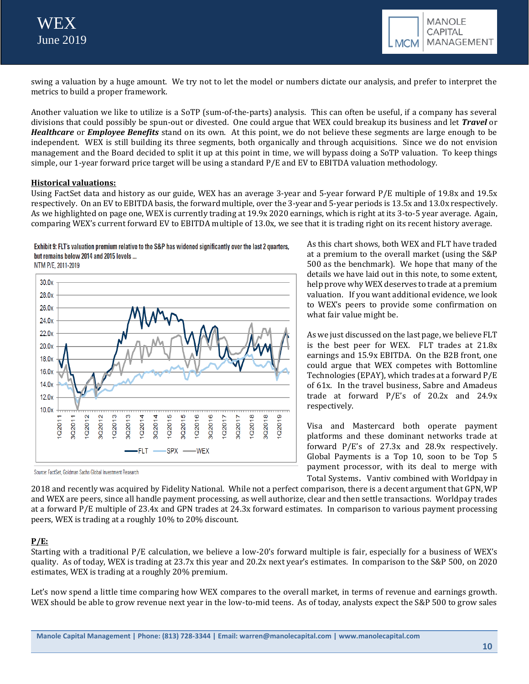



swing a valuation by a huge amount. We try not to let the model or numbers dictate our analysis, and prefer to interpret the metrics to build a proper framework.

Another valuation we like to utilize is a SoTP (sum-of-the-parts) analysis. This can often be useful, if a company has several divisions that could possibly be spun-out or divested. One could argue that WEX could breakup its business and let *Travel* or *Healthcare* or *Employee Benefits* stand on its own. At this point, we do not believe these segments are large enough to be independent. WEX is still building its three segments, both organically and through acquisitions. Since we do not envision management and the Board decided to split it up at this point in time, we will bypass doing a SoTP valuation. To keep things simple, our 1-year forward price target will be using a standard P/E and EV to EBITDA valuation methodology.

#### **Historical valuations:**

Using FactSet data and history as our guide, WEX has an average 3-year and 5-year forward P/E multiple of 19.8x and 19.5x respectively. On an EV to EBITDA basis, the forward multiple, over the 3-year and 5-year periods is 13.5x and 13.0x respectively. As we highlighted on page one, WEX is currently trading at 19.9x 2020 earnings, which is right at its 3-to-5 year average. Again, comparing WEX's current forward EV to EBITDA multiple of 13.0x, we see that it is trading right on its recent history average.

## Exhibit 9: FLT's valuation premium relative to the S&P has widened significantly over the last 2 quarters, but remains below 2014 and 2015 levels ...

NTM P/E, 2011-2019



Source: FactSet, Goldman Sachs Global Investment Research

As this chart shows, both WEX and FLT have traded at a premium to the overall market (using the S&P 500 as the benchmark). We hope that many of the details we have laid out in this note, to some extent, help prove why WEX deserves to trade at a premium valuation. If you want additional evidence, we look to WEX's peers to provide some confirmation on what fair value might be.

As we just discussed on the last page, we believe FLT is the best peer for WEX. FLT trades at 21.8x earnings and 15.9x EBITDA. On the B2B front, one could argue that WEX competes with Bottomline Technologies (EPAY), which trades at a forward P/E of 61x. In the travel business, Sabre and Amadeus trade at forward P/E's of 20.2x and 24.9x respectively.

Visa and Mastercard both operate payment platforms and these dominant networks trade at forward P/E's of 27.3x and 28.9x respectively. Global Payments is a Top 10, soon to be Top 5 payment processor, with its deal to merge with Total Systems. Vantiv combined with Worldpay in

2018 and recently was acquired by Fidelity National. While not a perfect comparison, there is a decent argument that GPN, WP and WEX are peers, since all handle payment processing, as well authorize, clear and then settle transactions. Worldpay trades at a forward P/E multiple of 23.4x and GPN trades at 24.3x forward estimates. In comparison to various payment processing peers, WEX is trading at a roughly 10% to 20% discount.

## **P/E:**

Starting with a traditional P/E calculation, we believe a low-20's forward multiple is fair, especially for a business of WEX's quality. As of today, WEX is trading at 23.7x this year and 20.2x next year's estimates. In comparison to the S&P 500, on 2020 estimates, WEX is trading at a roughly 20% premium.

Let's now spend a little time comparing how WEX compares to the overall market, in terms of revenue and earnings growth. WEX should be able to grow revenue next year in the low-to-mid teens. As of today, analysts expect the S&P 500 to grow sales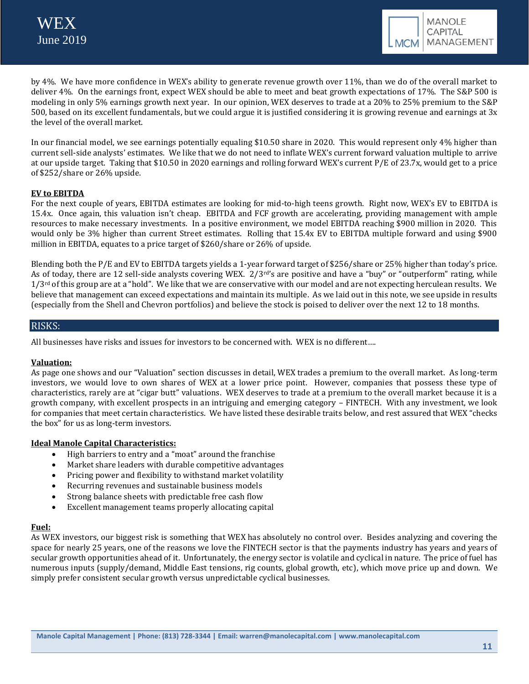



by 4%. We have more confidence in WEX's ability to generate revenue growth over 11%, than we do of the overall market to deliver 4%. On the earnings front, expect WEX should be able to meet and beat growth expectations of 17%. The S&P 500 is modeling in only 5% earnings growth next year. In our opinion, WEX deserves to trade at a 20% to 25% premium to the S&P 500, based on its excellent fundamentals, but we could argue it is justified considering it is growing revenue and earnings at 3x the level of the overall market.

In our financial model, we see earnings potentially equaling \$10.50 share in 2020. This would represent only 4% higher than current sell-side analysts' estimates. We like that we do not need to inflate WEX's current forward valuation multiple to arrive at our upside target. Taking that \$10.50 in 2020 earnings and rolling forward WEX's current P/E of 23.7x, would get to a price of \$252/share or 26% upside.

#### **EV to EBITDA**

For the next couple of years, EBITDA estimates are looking for mid-to-high teens growth. Right now, WEX's EV to EBITDA is 15.4x. Once again, this valuation isn't cheap. EBITDA and FCF growth are accelerating, providing management with ample resources to make necessary investments. In a positive environment, we model EBITDA reaching \$900 million in 2020. This would only be 3% higher than current Street estimates. Rolling that 15.4x EV to EBITDA multiple forward and using \$900 million in EBITDA, equates to a price target of \$260/share or 26% of upside.

Blending both the P/E and EV to EBITDA targets yields a 1-year forward target of \$256/share or 25% higher than today's price. As of today, there are 12 sell-side analysts covering WEX. 2/3<sup>rd'</sup>s are positive and have a "buy" or "outperform" rating, while  $1/3$ <sup>rd</sup> of this group are at a "hold". We like that we are conservative with our model and are not expecting herculean results. We believe that management can exceed expectations and maintain its multiple. As we laid out in this note, we see upside in results (especially from the Shell and Chevron portfolios) and believe the stock is poised to deliver over the next 12 to 18 months.

## RISKS:

All businesses have risks and issues for investors to be concerned with. WEX is no different….

#### **Valuation:**

As page one shows and our "Valuation" section discusses in detail, WEX trades a premium to the overall market. As long-term investors, we would love to own shares of WEX at a lower price point. However, companies that possess these type of characteristics, rarely are at "cigar butt" valuations. WEX deserves to trade at a premium to the overall market because it is a growth company, with excellent prospects in an intriguing and emerging category – FINTECH. With any investment, we look for companies that meet certain characteristics. We have listed these desirable traits below, and rest assured that WEX "checks the box" for us as long-term investors.

#### **Ideal Manole Capital Characteristics:**

- High barriers to entry and a "moat" around the franchise
- Market share leaders with durable competitive advantages
- Pricing power and flexibility to withstand market volatility
- Recurring revenues and sustainable business models
- Strong balance sheets with predictable free cash flow
- Excellent management teams properly allocating capital

## **Fuel:**

As WEX investors, our biggest risk is something that WEX has absolutely no control over. Besides analyzing and covering the space for nearly 25 years, one of the reasons we love the FINTECH sector is that the payments industry has years and years of secular growth opportunities ahead of it. Unfortunately, the energy sector is volatile and cyclical in nature. The price of fuel has numerous inputs (supply/demand, Middle East tensions, rig counts, global growth, etc), which move price up and down. We simply prefer consistent secular growth versus unpredictable cyclical businesses.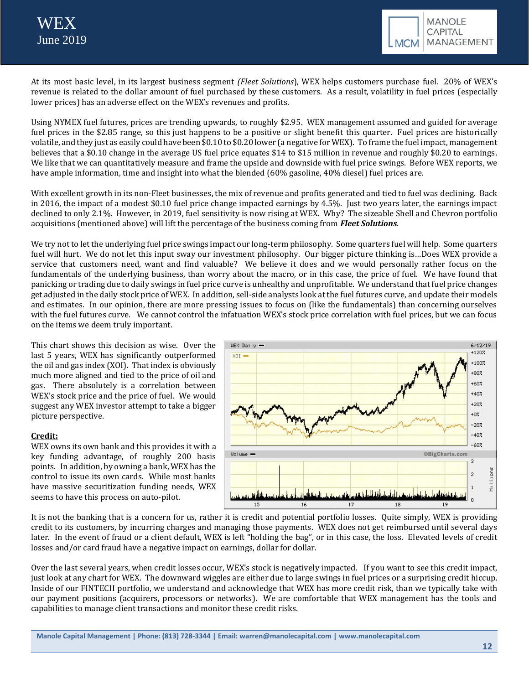



At its most basic level, in its largest business segment *(Fleet Solutions*), WEX helps customers purchase fuel. 20% of WEX's revenue is related to the dollar amount of fuel purchased by these customers. As a result, volatility in fuel prices (especially lower prices) has an adverse effect on the WEX's revenues and profits.

Using NYMEX fuel futures, prices are trending upwards, to roughly \$2.95. WEX management assumed and guided for average fuel prices in the \$2.85 range, so this just happens to be a positive or slight benefit this quarter. Fuel prices are historically volatile, and they just as easily could have been \$0.10 to \$0.20 lower (a negative for WEX). To frame the fuel impact, management believes that a \$0.10 change in the average US fuel price equates \$14 to \$15 million in revenue and roughly \$0.20 to earnings. We like that we can quantitatively measure and frame the upside and downside with fuel price swings. Before WEX reports, we have ample information, time and insight into what the blended (60% gasoline, 40% diesel) fuel prices are.

With excellent growth in its non-Fleet businesses, the mix of revenue and profits generated and tied to fuel was declining. Back in 2016, the impact of a modest \$0.10 fuel price change impacted earnings by 4.5%. Just two years later, the earnings impact declined to only 2.1%. However, in 2019, fuel sensitivity is now rising at WEX. Why? The sizeable Shell and Chevron portfolio acquisitions (mentioned above) will lift the percentage of the business coming from *Fleet Solutions*.

We try not to let the underlying fuel price swings impact our long-term philosophy. Some quarters fuel will help. Some quarters fuel will hurt. We do not let this input sway our investment philosophy. Our bigger picture thinking is…Does WEX provide a service that customers need, want and find valuable? We believe it does and we would personally rather focus on the fundamentals of the underlying business, than worry about the macro, or in this case, the price of fuel. We have found that panicking or trading due to daily swings in fuel price curve is unhealthy and unprofitable. We understand that fuel price changes get adjusted in the daily stock price of WEX. In addition, sell-side analysts look at the fuel futures curve, and update their models and estimates. In our opinion, there are more pressing issues to focus on (like the fundamentals) than concerning ourselves with the fuel futures curve. We cannot control the infatuation WEX's stock price correlation with fuel prices, but we can focus on the items we deem truly important.

This chart shows this decision as wise. Over the last 5 years, WEX has significantly outperformed the oil and gas index (XOI). That index is obviously much more aligned and tied to the price of oil and gas. There absolutely is a correlation between WEX's stock price and the price of fuel. We would suggest any WEX investor attempt to take a bigger picture perspective.

#### **Credit:**

WEX owns its own bank and this provides it with a key funding advantage, of roughly 200 basis points. In addition, by owning a bank, WEX has the control to issue its own cards. While most banks have massive securitization funding needs, WEX seems to have this process on auto-pilot.



It is not the banking that is a concern for us, rather it is credit and potential portfolio losses. Quite simply, WEX is providing credit to its customers, by incurring charges and managing those payments. WEX does not get reimbursed until several days later. In the event of fraud or a client default, WEX is left "holding the bag", or in this case, the loss. Elevated levels of credit losses and/or card fraud have a negative impact on earnings, dollar for dollar.

Over the last several years, when credit losses occur, WEX's stock is negatively impacted. If you want to see this credit impact, just look at any chart for WEX. The downward wiggles are either due to large swings in fuel prices or a surprising credit hiccup. Inside of our FINTECH portfolio, we understand and acknowledge that WEX has more credit risk, than we typically take with our payment positions (acquirers, processors or networks). We are comfortable that WEX management has the tools and capabilities to manage client transactions and monitor these credit risks.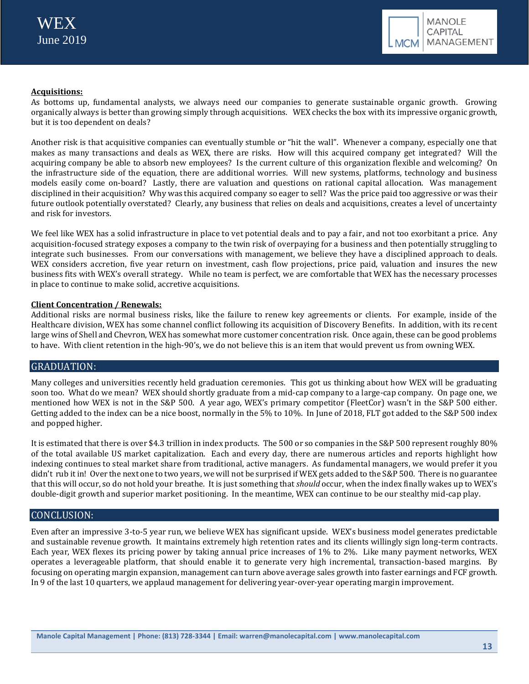

## **Acquisitions:**

As bottoms up, fundamental analysts, we always need our companies to generate sustainable organic growth. Growing organically always is better than growing simply through acquisitions. WEX checks the box with its impressive organic growth, but it is too dependent on deals?

Another risk is that acquisitive companies can eventually stumble or "hit the wall". Whenever a company, especially one that makes as many transactions and deals as WEX, there are risks. How will this acquired company get integrated? Will the acquiring company be able to absorb new employees? Is the current culture of this organization flexible and welcoming? On the infrastructure side of the equation, there are additional worries. Will new systems, platforms, technology and business models easily come on-board? Lastly, there are valuation and questions on rational capital allocation. Was management disciplined in their acquisition? Why was this acquired company so eager to sell? Was the price paid too aggressive or was their future outlook potentially overstated? Clearly, any business that relies on deals and acquisitions, creates a level of uncertainty and risk for investors.

We feel like WEX has a solid infrastructure in place to vet potential deals and to pay a fair, and not too exorbitant a price. Any acquisition-focused strategy exposes a company to the twin risk of overpaying for a business and then potentially struggling to integrate such businesses. From our conversations with management, we believe they have a disciplined approach to deals. WEX considers accretion, five year return on investment, cash flow projections, price paid, valuation and insures the new business fits with WEX's overall strategy. While no team is perfect, we are comfortable that WEX has the necessary processes in place to continue to make solid, accretive acquisitions.

#### **Client Concentration / Renewals:**

Additional risks are normal business risks, like the failure to renew key agreements or clients. For example, inside of the Healthcare division, WEX has some channel conflict following its acquisition of Discovery Benefits. In addition, with its recent large wins of Shell and Chevron, WEX has somewhat more customer concentration risk. Once again, these can be good problems to have. With client retention in the high-90's, we do not believe this is an item that would prevent us from owning WEX.

## GRADUATION:

Many colleges and universities recently held graduation ceremonies. This got us thinking about how WEX will be graduating soon too. What do we mean? WEX should shortly graduate from a mid-cap company to a large-cap company. On page one, we mentioned how WEX is not in the S&P 500. A year ago, WEX's primary competitor (FleetCor) wasn't in the S&P 500 either. Getting added to the index can be a nice boost, normally in the 5% to 10%. In June of 2018, FLT got added to the S&P 500 index and popped higher.

It is estimated that there is over \$4.3 trillion in index products. The 500 or so companies in the S&P 500 represent roughly 80% of the total available US market capitalization. Each and every day, there are numerous articles and reports highlight how indexing continues to steal market share from traditional, active managers. As fundamental managers, we would prefer it you didn't rub it in! Over the next one to two years, we will not be surprised if WEX gets added to the S&P 500. There is no guarantee that this will occur, so do not hold your breathe. It is just something that *should* occur, when the index finally wakes up to WEX's double-digit growth and superior market positioning. In the meantime, WEX can continue to be our stealthy mid-cap play.

## CONCLUSION:

Even after an impressive 3-to-5 year run, we believe WEX has significant upside. WEX's business model generates predictable and sustainable revenue growth. It maintains extremely high retention rates and its clients willingly sign long-term contracts. Each year, WEX flexes its pricing power by taking annual price increases of 1% to 2%. Like many payment networks, WEX operates a leverageable platform, that should enable it to generate very high incremental, transaction-based margins. By focusing on operating margin expansion, management can turn above average sales growth into faster earnings and FCF growth. In 9 of the last 10 quarters, we applaud management for delivering year-over-year operating margin improvement.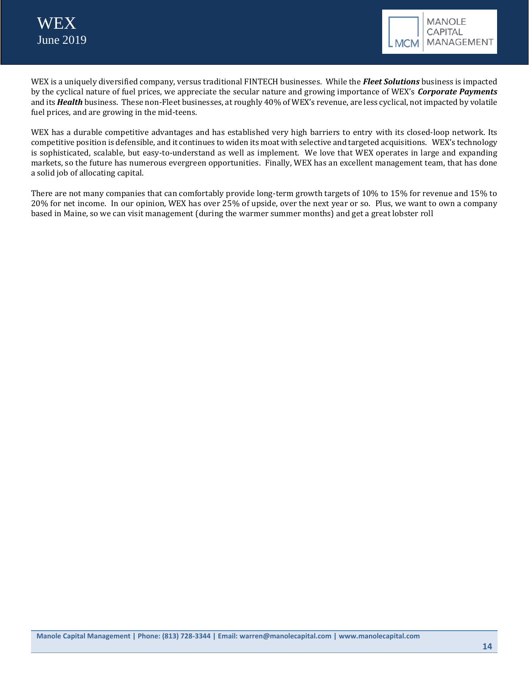



WEX is a uniquely diversified company, versus traditional FINTECH businesses. While the *Fleet Solutions* business is impacted by the cyclical nature of fuel prices, we appreciate the secular nature and growing importance of WEX's *Corporate Payments* and its *Health* business. These non-Fleet businesses, at roughly 40% of WEX's revenue, are less cyclical, not impacted by volatile fuel prices, and are growing in the mid-teens.

WEX has a durable competitive advantages and has established very high barriers to entry with its closed-loop network. Its competitive position is defensible, and it continues to widen its moat with selective and targeted acquisitions. WEX's technology is sophisticated, scalable, but easy-to-understand as well as implement. We love that WEX operates in large and expanding markets, so the future has numerous evergreen opportunities. Finally, WEX has an excellent management team, that has done a solid job of allocating capital.

There are not many companies that can comfortably provide long-term growth targets of 10% to 15% for revenue and 15% to 20% for net income. In our opinion, WEX has over 25% of upside, over the next year or so. Plus, we want to own a company based in Maine, so we can visit management (during the warmer summer months) and get a great lobster roll